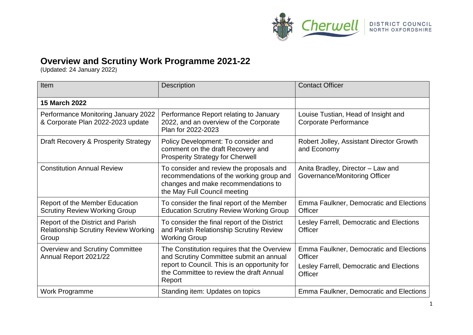

## **Overview and Scrutiny Work Programme 2021-22**

(Updated: 24 January 2022)

| Item                                                                                      | Description                                                                                                                                                                                   | <b>Contact Officer</b>                                                                                           |
|-------------------------------------------------------------------------------------------|-----------------------------------------------------------------------------------------------------------------------------------------------------------------------------------------------|------------------------------------------------------------------------------------------------------------------|
| <b>15 March 2022</b>                                                                      |                                                                                                                                                                                               |                                                                                                                  |
| Performance Monitoring January 2022<br>& Corporate Plan 2022-2023 update                  | Performance Report relating to January<br>2022, and an overview of the Corporate<br>Plan for 2022-2023                                                                                        | Louise Tustian, Head of Insight and<br><b>Corporate Performance</b>                                              |
| Draft Recovery & Prosperity Strategy                                                      | Policy Development: To consider and<br>comment on the draft Recovery and<br><b>Prosperity Strategy for Cherwell</b>                                                                           | Robert Jolley, Assistant Director Growth<br>and Economy                                                          |
| <b>Constitution Annual Review</b>                                                         | To consider and review the proposals and<br>recommendations of the working group and<br>changes and make recommendations to<br>the May Full Council meeting                                   | Anita Bradley, Director - Law and<br>Governance/Monitoring Officer                                               |
| <b>Report of the Member Education</b><br><b>Scrutiny Review Working Group</b>             | To consider the final report of the Member<br><b>Education Scrutiny Review Working Group</b>                                                                                                  | Emma Faulkner, Democratic and Elections<br><b>Officer</b>                                                        |
| Report of the District and Parish<br><b>Relationship Scrutiny Review Working</b><br>Group | To consider the final report of the District<br>and Parish Relationship Scrutiny Review<br><b>Working Group</b>                                                                               | Lesley Farrell, Democratic and Elections<br>Officer                                                              |
| <b>Overview and Scrutiny Committee</b><br>Annual Report 2021/22                           | The Constitution requires that the Overview<br>and Scrutiny Committee submit an annual<br>report to Council. This is an opportunity for<br>the Committee to review the draft Annual<br>Report | Emma Faulkner, Democratic and Elections<br><b>Officer</b><br>Lesley Farrell, Democratic and Elections<br>Officer |
| Work Programme                                                                            | Standing item: Updates on topics                                                                                                                                                              | Emma Faulkner, Democratic and Elections                                                                          |